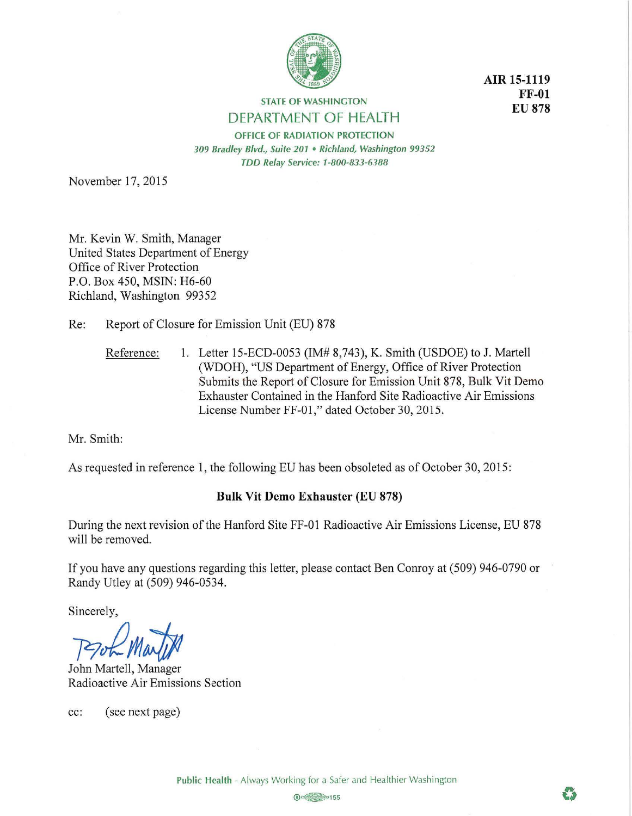

**AIR 15-1119 FF-01 EU878** 

**STATE OF WASHINGTON**  DEPARTMENT OF HEALTH

**OFFICE OF RADIATION PROTECTION**  *309 Bradley Blvd., Suite 201* • *Richland, Washington 99352 TDD Relay Service: 1-800-833-6188* 

November 17, 2015

Mr. Kevin W. Smith, Manager United States Department of Energy Office of River Protection P.O. Box 450, MSIN: H6-60 Richland, Washington 99352

Re: Report of Closure for Emission Unit (EU) 878

Reference: 1. Letter 15-ECD-0053 (IM# 8,743), K. Smith (USDOE) to J. Martell (WDOH), "US Department of Energy, Office of River Protection Submits the Report of Closure for Emission Unit 878, Bulk Vit Demo Exhauster Contained in the Hanford Site Radioactive Air Emissions License Number FF-01," dated October 30, 2015.

Mr. Smith:

As requested in reference 1, the following EU has been obsoleted as of October 30, 2015:

## **Bulk Vit Demo Exhauster (EU 878)**

During the next revision of the Hanford Site FF-01 Radioactive Air Emissions License, EU 878 will be removed.

If you have any questions regarding this letter, please contact Ben Conroy at (509) 946-0790 or Randy Utley at (509) 946-0534.

Sincerely,

*]9~tM;/;J* 

John Martell, Manager Radioactive Air Emissions Section

cc: ( see next page)